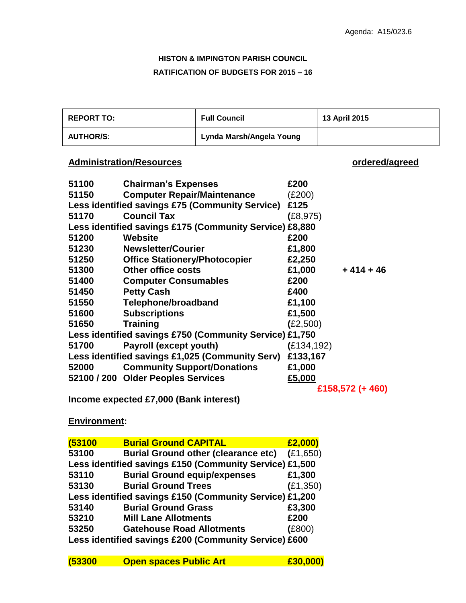# **HISTON & IMPINGTON PARISH COUNCIL RATIFICATION OF BUDGETS FOR 2015 – 16**

| <b>REPORT TO:</b> |                                      | <b>Full Council</b>                                     |             | 13 April 2015    |
|-------------------|--------------------------------------|---------------------------------------------------------|-------------|------------------|
| <b>AUTHOR/S:</b>  |                                      | Lynda Marsh/Angela Young                                |             |                  |
|                   | <b>Administration/Resources</b>      |                                                         |             | ordered/agreed   |
| 51100             | <b>Chairman's Expenses</b>           |                                                         | £200        |                  |
| 51150             | <b>Computer Repair/Maintenance</b>   |                                                         | (E200)      |                  |
|                   |                                      | Less identified savings £75 (Community Service)         | £125        |                  |
| 51170             | <b>Council Tax</b>                   |                                                         | (E8, 975)   |                  |
|                   |                                      | Less identified savings £175 (Community Service) £8,880 |             |                  |
| 51200             | Website                              |                                                         | £200        |                  |
| 51230             | <b>Newsletter/Courier</b>            |                                                         | £1,800      |                  |
| 51250             | <b>Office Stationery/Photocopier</b> |                                                         | £2,250      |                  |
| 51300             | <b>Other office costs</b>            |                                                         | £1,000      | $+414+46$        |
| 51400             | <b>Computer Consumables</b>          |                                                         | £200        |                  |
| 51450             | <b>Petty Cash</b>                    |                                                         | £400        |                  |
| 51550             | <b>Telephone/broadband</b>           |                                                         | £1,100      |                  |
| 51600             | <b>Subscriptions</b>                 |                                                         | £1,500      |                  |
| 51650             | <b>Training</b>                      |                                                         | (E2,500)    |                  |
|                   |                                      | Less identified savings £750 (Community Service) £1,750 |             |                  |
| 51700             | Payroll (except youth)               |                                                         | (E134, 192) |                  |
|                   |                                      | Less identified savings £1,025 (Community Serv)         | £133,167    |                  |
| 52000             | <b>Community Support/Donations</b>   |                                                         | £1,000      |                  |
|                   | 52100 / 200 Older Peoples Services   |                                                         | £5,000      |                  |
|                   |                                      |                                                         |             | £158,572 (+ 460) |
|                   |                                      |                                                         |             |                  |

**Income expected £7,000 (Bank interest)**

## **Environment:**

| (53100 | <b>Burial Ground CAPITAL</b>                            | £2,000)   |
|--------|---------------------------------------------------------|-----------|
| 53100  | <b>Burial Ground other (clearance etc)</b>              | (E1,650)  |
|        | Less identified savings £150 (Community Service) £1,500 |           |
| 53110  | <b>Burial Ground equip/expenses</b>                     | £1,300    |
| 53130  | <b>Burial Ground Trees</b>                              | (E1, 350) |
|        | Less identified savings £150 (Community Service) £1,200 |           |
| 53140  | <b>Burial Ground Grass</b>                              | £3,300    |
| 53210  | <b>Mill Lane Allotments</b>                             | £200      |
| 53250  | <b>Gatehouse Road Allotments</b>                        | (E800)    |
|        | Less identified savings £200 (Community Service) £600   |           |

| (53300 | <b>Open spaces Public Art</b> | £30,000) |
|--------|-------------------------------|----------|
|--------|-------------------------------|----------|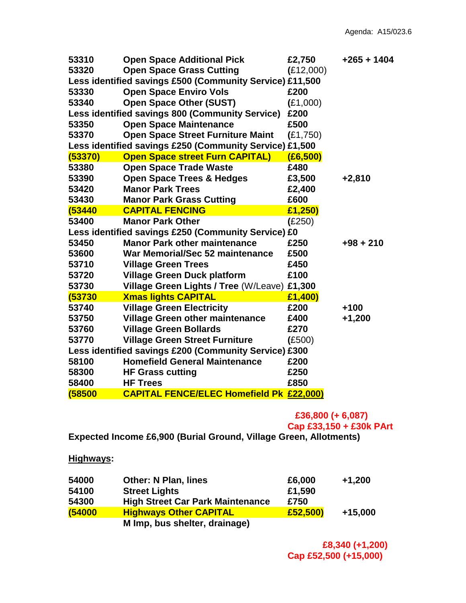| 53310   | <b>Open Space Additional Pick</b>                        | £2,750    | +265 + 1404 |
|---------|----------------------------------------------------------|-----------|-------------|
| 53320   | <b>Open Space Grass Cutting</b>                          | (E12,000) |             |
|         | Less identified savings £500 (Community Service) £11,500 |           |             |
| 53330   | <b>Open Space Enviro Vols</b>                            | £200      |             |
| 53340   | <b>Open Space Other (SUST)</b>                           | (E1,000)  |             |
|         | Less identified savings 800 (Community Service)          | £200      |             |
| 53350   | <b>Open Space Maintenance</b>                            | £500      |             |
| 53370   | <b>Open Space Street Furniture Maint</b>                 | (E1,750)  |             |
|         | Less identified savings £250 (Community Service) £1,500  |           |             |
| (53370) | <b>Open Space street Furn CAPITAL)</b>                   | (E6, 500) |             |
| 53380   | <b>Open Space Trade Waste</b>                            | £480      |             |
| 53390   | <b>Open Space Trees &amp; Hedges</b>                     | £3,500    | $+2,810$    |
| 53420   | <b>Manor Park Trees</b>                                  | £2,400    |             |
| 53430   | <b>Manor Park Grass Cutting</b>                          | £600      |             |
| (53440  | <b>CAPITAL FENCING</b>                                   | £1,250)   |             |
| 53400   | <b>Manor Park Other</b>                                  | (E250)    |             |
|         | Less identified savings £250 (Community Service) £0      |           |             |
| 53450   | <b>Manor Park other maintenance</b>                      | £250      | $+98 + 210$ |
| 53600   | War Memorial/Sec 52 maintenance                          | £500      |             |
| 53710   | <b>Village Green Trees</b>                               | £450      |             |
| 53720   | <b>Village Green Duck platform</b>                       | £100      |             |
| 53730   | <b>Village Green Lights / Tree (W/Leave)</b>             | £1,300    |             |
| (53730  | <b>Xmas lights CAPITAL</b>                               | £1,400)   |             |
| 53740   | <b>Village Green Electricity</b>                         | £200      | $+100$      |
| 53750   | <b>Village Green other maintenance</b>                   | £400      | $+1,200$    |
| 53760   | <b>Village Green Bollards</b>                            | £270      |             |
| 53770   | <b>Village Green Street Furniture</b>                    | (E500)    |             |
|         | Less identified savings £200 (Community Service) £300    |           |             |
| 58100   | <b>Homefield General Maintenance</b>                     | £200      |             |
| 58300   | <b>HF Grass cutting</b>                                  | £250      |             |
| 58400   | <b>HF Trees</b>                                          | £850      |             |
| (58500  | <b>CAPITAL FENCE/ELEC Homefield Pk £22,000)</b>          |           |             |

# **£36,800 (+ 6,087)**

**Cap £33,150 + £30k PArt**

**Expected Income £6,900 (Burial Ground, Village Green, Allotments)**

**Highways:**

| 54000  | <b>Other: N Plan, lines</b>             | £6,000   | $+1,200$  |
|--------|-----------------------------------------|----------|-----------|
| 54100  | <b>Street Lights</b>                    | £1,590   |           |
| 54300  | <b>High Street Car Park Maintenance</b> | £750     |           |
| (54000 | <b>Highways Other CAPITAL</b>           | £52,500) | $+15,000$ |
|        | M Imp, bus shelter, drainage)           |          |           |

 **£8,340 (+1,200) Cap £52,500 (+15,000)**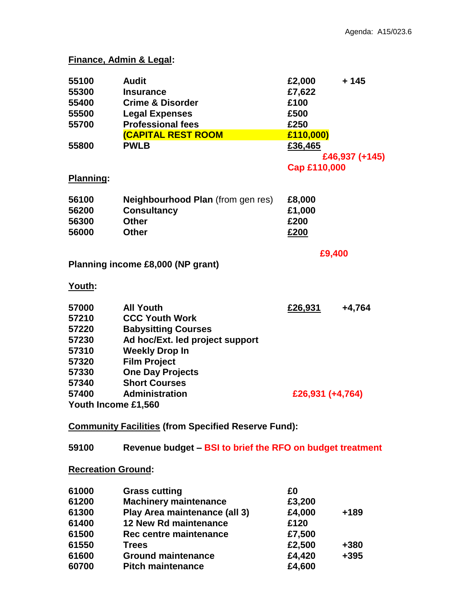### **Finance, Admin & Legal:**

| 55100               | <b>Audit</b>                             | £2,000           | $+145$         |
|---------------------|------------------------------------------|------------------|----------------|
| 55300               | <b>Insurance</b>                         | £7,622           |                |
| 55400               | <b>Crime &amp; Disorder</b>              | £100             |                |
| 55500               | <b>Legal Expenses</b>                    | £500             |                |
| 55700               | <b>Professional fees</b>                 | £250             |                |
|                     | <b>(CAPITAL REST ROOM</b>                | £110,000)        |                |
| 55800               | <b>PWLB</b>                              | £36,465          |                |
|                     |                                          |                  | £46,937 (+145) |
|                     |                                          | Cap £110,000     |                |
| Planning:           |                                          |                  |                |
| 56100               | <b>Neighbourhood Plan (from gen res)</b> | £8,000           |                |
| 56200               | <b>Consultancy</b>                       | £1,000           |                |
| 56300               | <b>Other</b>                             | £200             |                |
| 56000               | <b>Other</b>                             | £200             |                |
|                     |                                          |                  |                |
|                     | Planning income £8,000 (NP grant)        | £9,400           |                |
|                     |                                          |                  |                |
| Youth:              |                                          |                  |                |
| 57000               | <b>All Youth</b>                         | £26,931          | +4,764         |
| 57210               | <b>CCC Youth Work</b>                    |                  |                |
| 57220               | <b>Babysitting Courses</b>               |                  |                |
| 57230               | Ad hoc/Ext. led project support          |                  |                |
| 57310               | <b>Weekly Drop In</b>                    |                  |                |
| 57320               | <b>Film Project</b>                      |                  |                |
| 57330               | <b>One Day Projects</b>                  |                  |                |
| 57340               | <b>Short Courses</b>                     |                  |                |
| 57400               | <b>Administration</b>                    | £26,931 (+4,764) |                |
| Youth Income £1,560 |                                          |                  |                |

**Revenue budget – BSI to brief the RFO on budget treatment**

## **Recreation Ground:**

| 61000 | <b>Grass cutting</b>          | £0     |        |
|-------|-------------------------------|--------|--------|
| 61200 | <b>Machinery maintenance</b>  | £3,200 |        |
| 61300 | Play Area maintenance (all 3) | £4,000 | $+189$ |
| 61400 | 12 New Rd maintenance         | £120   |        |
| 61500 | Rec centre maintenance        | £7,500 |        |
| 61550 | <b>Trees</b>                  | £2,500 | +380   |
| 61600 | <b>Ground maintenance</b>     | £4,420 | $+395$ |
| 60700 | <b>Pitch maintenance</b>      | £4,600 |        |